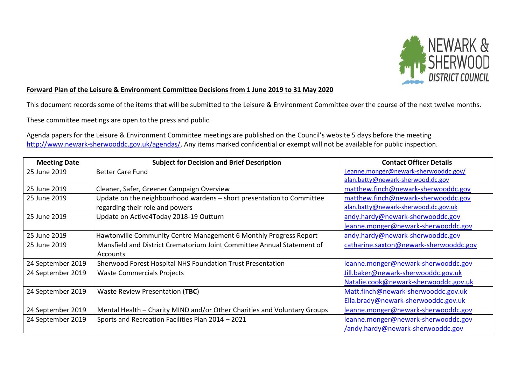

## **Forward Plan of the Leisure & Environment Committee Decisions from 1 June 2019 to 31 May 2020**

This document records some of the items that will be submitted to the Leisure & Environment Committee over the course of the next twelve months.

These committee meetings are open to the press and public.

Agenda papers for the Leisure & Environment Committee meetings are published on the Council's website 5 days before the meeting [http://www.newark-sherwooddc.gov.uk/agendas/.](http://www.newark-sherwooddc.gov.uk/agendas/) Any items marked confidential or exempt will not be available for public inspection.

| <b>Meeting Date</b> | <b>Subject for Decision and Brief Description</b>                        | <b>Contact Officer Details</b>         |
|---------------------|--------------------------------------------------------------------------|----------------------------------------|
| 25 June 2019        | <b>Better Care Fund</b>                                                  | Leanne.monger@newark-sherwooddc.gov/   |
|                     |                                                                          | alan.batty@newark-sherwood.dc.gov      |
| 25 June 2019        | Cleaner, Safer, Greener Campaign Overview                                | matthew.finch@newark-sherwooddc.gov    |
| 25 June 2019        | Update on the neighbourhood wardens - short presentation to Committee    | matthew.finch@newark-sherwooddc.gov    |
|                     | regarding their role and powers                                          | alan.batty@newark-sherwood.dc.gov.uk   |
| 25 June 2019        | Update on Active4Today 2018-19 Outturn                                   | andy.hardy@newark-sherwooddc.gov       |
|                     |                                                                          | leanne.monger@newark-sherwooddc.gov    |
| 25 June 2019        | Hawtonville Community Centre Management 6 Monthly Progress Report        | andy.hardy@newark-sherwooddc.gov       |
| 25 June 2019        | Mansfield and District Crematorium Joint Committee Annual Statement of   | catharine.saxton@newark-sherwooddc.gov |
|                     | Accounts                                                                 |                                        |
| 24 September 2019   | Sherwood Forest Hospital NHS Foundation Trust Presentation               | leanne.monger@newark-sherwooddc.gov    |
| 24 September 2019   | <b>Waste Commercials Projects</b>                                        | Jill.baker@newark-sherwooddc.gov.uk    |
|                     |                                                                          | Natalie.cook@newark-sherwooddc.gov.uk  |
| 24 September 2019   | Waste Review Presentation (TBC)                                          | Matt.finch@newark-sherwooddc.gov.uk    |
|                     |                                                                          | Ella.brady@newark-sherwooddc.gov.uk    |
| 24 September 2019   | Mental Health - Charity MIND and/or Other Charities and Voluntary Groups | leanne.monger@newark-sherwooddc.gov    |
| 24 September 2019   | Sports and Recreation Facilities Plan 2014 - 2021                        | leanne.monger@newark-sherwooddc.gov    |
|                     |                                                                          | /andy.hardy@newark-sherwooddc.gov      |